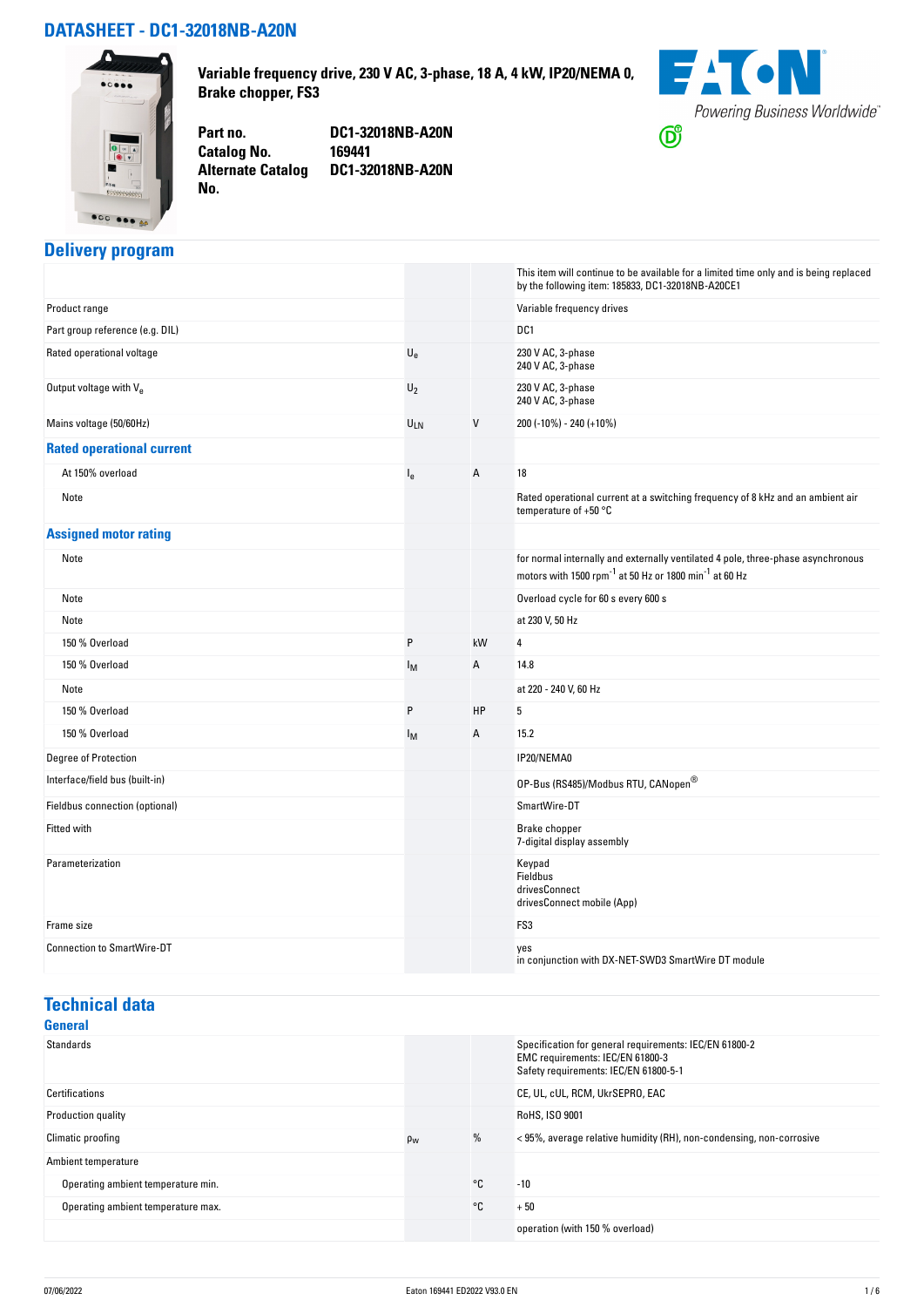#### **DATASHEET - DC1-32018NB-A20N**



**Variable frequency drive, 230 V AC, 3-phase, 18 A, 4 kW, IP20/NEMA 0, Brake chopper, FS3**

**Catalog No. Alternate Catalog No.** 

**Part no. DC1-32018NB-A20N DC1-32018NB-A20N**



## **Delivery program**

| Product range<br>Variable frequency drives<br>Part group reference (e.g. DIL)<br>DC <sub>1</sub><br>$\mathsf{U}_{\mathsf{e}}$<br>230 V AC, 3-phase<br>Rated operational voltage<br>240 V AC, 3-phase<br>230 V AC, 3-phase<br>Output voltage with Ve<br>$U_2$<br>240 V AC, 3-phase<br>Mains voltage (50/60Hz)<br>$\mathsf{V}$<br>200 (-10%) - 240 (+10%)<br>ULN<br><b>Rated operational current</b><br>At 150% overload<br>A<br>18<br>l <sub>e</sub><br>Rated operational current at a switching frequency of 8 kHz and an ambient air<br>Note<br>temperature of $+50$ °C<br><b>Assigned motor rating</b><br>for normal internally and externally ventilated 4 pole, three-phase asynchronous<br>Note<br>motors with 1500 rpm <sup>-1</sup> at 50 Hz or 1800 min <sup>-1</sup> at 60 Hz<br>Overload cycle for 60 s every 600 s<br>Note<br>Note<br>at 230 V, 50 Hz<br>150 % Overload<br>P<br>kW<br>4<br>150 % Overload<br>14.8<br>Α<br>Iм<br>at 220 - 240 V, 60 Hz<br>Note<br>P<br>HP<br>5<br>150 % Overload<br>150 % Overload<br>Α<br>15.2<br>Iм<br>Degree of Protection<br>IP20/NEMA0<br>Interface/field bus (built-in)<br>OP-Bus (RS485)/Modbus RTU, CANopen®<br>Fieldbus connection (optional)<br>SmartWire-DT<br>Fitted with<br>Brake chopper<br>7-digital display assembly<br>Parameterization<br>Keypad<br>Fieldbus<br>drivesConnect<br>drivesConnect mobile (App)<br>FS3<br>Frame size<br><b>Connection to SmartWire-DT</b><br>yes<br>in conjunction with DX-NET-SWD3 SmartWire DT module |  | This item will continue to be available for a limited time only and is being replaced<br>by the following item: 185833, DC1-32018NB-A20CE1 |
|-------------------------------------------------------------------------------------------------------------------------------------------------------------------------------------------------------------------------------------------------------------------------------------------------------------------------------------------------------------------------------------------------------------------------------------------------------------------------------------------------------------------------------------------------------------------------------------------------------------------------------------------------------------------------------------------------------------------------------------------------------------------------------------------------------------------------------------------------------------------------------------------------------------------------------------------------------------------------------------------------------------------------------------------------------------------------------------------------------------------------------------------------------------------------------------------------------------------------------------------------------------------------------------------------------------------------------------------------------------------------------------------------------------------------------------------------------------------------------------------------|--|--------------------------------------------------------------------------------------------------------------------------------------------|
|                                                                                                                                                                                                                                                                                                                                                                                                                                                                                                                                                                                                                                                                                                                                                                                                                                                                                                                                                                                                                                                                                                                                                                                                                                                                                                                                                                                                                                                                                                 |  |                                                                                                                                            |
|                                                                                                                                                                                                                                                                                                                                                                                                                                                                                                                                                                                                                                                                                                                                                                                                                                                                                                                                                                                                                                                                                                                                                                                                                                                                                                                                                                                                                                                                                                 |  |                                                                                                                                            |
|                                                                                                                                                                                                                                                                                                                                                                                                                                                                                                                                                                                                                                                                                                                                                                                                                                                                                                                                                                                                                                                                                                                                                                                                                                                                                                                                                                                                                                                                                                 |  |                                                                                                                                            |
|                                                                                                                                                                                                                                                                                                                                                                                                                                                                                                                                                                                                                                                                                                                                                                                                                                                                                                                                                                                                                                                                                                                                                                                                                                                                                                                                                                                                                                                                                                 |  |                                                                                                                                            |
|                                                                                                                                                                                                                                                                                                                                                                                                                                                                                                                                                                                                                                                                                                                                                                                                                                                                                                                                                                                                                                                                                                                                                                                                                                                                                                                                                                                                                                                                                                 |  |                                                                                                                                            |
|                                                                                                                                                                                                                                                                                                                                                                                                                                                                                                                                                                                                                                                                                                                                                                                                                                                                                                                                                                                                                                                                                                                                                                                                                                                                                                                                                                                                                                                                                                 |  |                                                                                                                                            |
|                                                                                                                                                                                                                                                                                                                                                                                                                                                                                                                                                                                                                                                                                                                                                                                                                                                                                                                                                                                                                                                                                                                                                                                                                                                                                                                                                                                                                                                                                                 |  |                                                                                                                                            |
|                                                                                                                                                                                                                                                                                                                                                                                                                                                                                                                                                                                                                                                                                                                                                                                                                                                                                                                                                                                                                                                                                                                                                                                                                                                                                                                                                                                                                                                                                                 |  |                                                                                                                                            |
|                                                                                                                                                                                                                                                                                                                                                                                                                                                                                                                                                                                                                                                                                                                                                                                                                                                                                                                                                                                                                                                                                                                                                                                                                                                                                                                                                                                                                                                                                                 |  |                                                                                                                                            |
|                                                                                                                                                                                                                                                                                                                                                                                                                                                                                                                                                                                                                                                                                                                                                                                                                                                                                                                                                                                                                                                                                                                                                                                                                                                                                                                                                                                                                                                                                                 |  |                                                                                                                                            |
|                                                                                                                                                                                                                                                                                                                                                                                                                                                                                                                                                                                                                                                                                                                                                                                                                                                                                                                                                                                                                                                                                                                                                                                                                                                                                                                                                                                                                                                                                                 |  |                                                                                                                                            |
|                                                                                                                                                                                                                                                                                                                                                                                                                                                                                                                                                                                                                                                                                                                                                                                                                                                                                                                                                                                                                                                                                                                                                                                                                                                                                                                                                                                                                                                                                                 |  |                                                                                                                                            |
|                                                                                                                                                                                                                                                                                                                                                                                                                                                                                                                                                                                                                                                                                                                                                                                                                                                                                                                                                                                                                                                                                                                                                                                                                                                                                                                                                                                                                                                                                                 |  |                                                                                                                                            |
|                                                                                                                                                                                                                                                                                                                                                                                                                                                                                                                                                                                                                                                                                                                                                                                                                                                                                                                                                                                                                                                                                                                                                                                                                                                                                                                                                                                                                                                                                                 |  |                                                                                                                                            |
|                                                                                                                                                                                                                                                                                                                                                                                                                                                                                                                                                                                                                                                                                                                                                                                                                                                                                                                                                                                                                                                                                                                                                                                                                                                                                                                                                                                                                                                                                                 |  |                                                                                                                                            |
|                                                                                                                                                                                                                                                                                                                                                                                                                                                                                                                                                                                                                                                                                                                                                                                                                                                                                                                                                                                                                                                                                                                                                                                                                                                                                                                                                                                                                                                                                                 |  |                                                                                                                                            |
|                                                                                                                                                                                                                                                                                                                                                                                                                                                                                                                                                                                                                                                                                                                                                                                                                                                                                                                                                                                                                                                                                                                                                                                                                                                                                                                                                                                                                                                                                                 |  |                                                                                                                                            |
|                                                                                                                                                                                                                                                                                                                                                                                                                                                                                                                                                                                                                                                                                                                                                                                                                                                                                                                                                                                                                                                                                                                                                                                                                                                                                                                                                                                                                                                                                                 |  |                                                                                                                                            |
|                                                                                                                                                                                                                                                                                                                                                                                                                                                                                                                                                                                                                                                                                                                                                                                                                                                                                                                                                                                                                                                                                                                                                                                                                                                                                                                                                                                                                                                                                                 |  |                                                                                                                                            |
|                                                                                                                                                                                                                                                                                                                                                                                                                                                                                                                                                                                                                                                                                                                                                                                                                                                                                                                                                                                                                                                                                                                                                                                                                                                                                                                                                                                                                                                                                                 |  |                                                                                                                                            |
|                                                                                                                                                                                                                                                                                                                                                                                                                                                                                                                                                                                                                                                                                                                                                                                                                                                                                                                                                                                                                                                                                                                                                                                                                                                                                                                                                                                                                                                                                                 |  |                                                                                                                                            |
|                                                                                                                                                                                                                                                                                                                                                                                                                                                                                                                                                                                                                                                                                                                                                                                                                                                                                                                                                                                                                                                                                                                                                                                                                                                                                                                                                                                                                                                                                                 |  |                                                                                                                                            |
|                                                                                                                                                                                                                                                                                                                                                                                                                                                                                                                                                                                                                                                                                                                                                                                                                                                                                                                                                                                                                                                                                                                                                                                                                                                                                                                                                                                                                                                                                                 |  |                                                                                                                                            |
|                                                                                                                                                                                                                                                                                                                                                                                                                                                                                                                                                                                                                                                                                                                                                                                                                                                                                                                                                                                                                                                                                                                                                                                                                                                                                                                                                                                                                                                                                                 |  |                                                                                                                                            |

## **Technical data**

| General                            |                |    |                                                                                                                                     |
|------------------------------------|----------------|----|-------------------------------------------------------------------------------------------------------------------------------------|
| <b>Standards</b>                   |                |    | Specification for general requirements: IEC/EN 61800-2<br>EMC requirements: IEC/EN 61800-3<br>Safety requirements: IEC/EN 61800-5-1 |
| Certifications                     |                |    | CE, UL, cUL, RCM, UkrSEPRO, EAC                                                                                                     |
| Production quality                 |                |    | RoHS, ISO 9001                                                                                                                      |
| Climatic proofing                  | $\rho_{\rm W}$ | %  | <95%, average relative humidity (RH), non-condensing, non-corrosive                                                                 |
| Ambient temperature                |                |    |                                                                                                                                     |
| Operating ambient temperature min. |                | °C | $-10$                                                                                                                               |
| Operating ambient temperature max. |                | °C | $+50$                                                                                                                               |
|                                    |                |    | operation (with 150 % overload)                                                                                                     |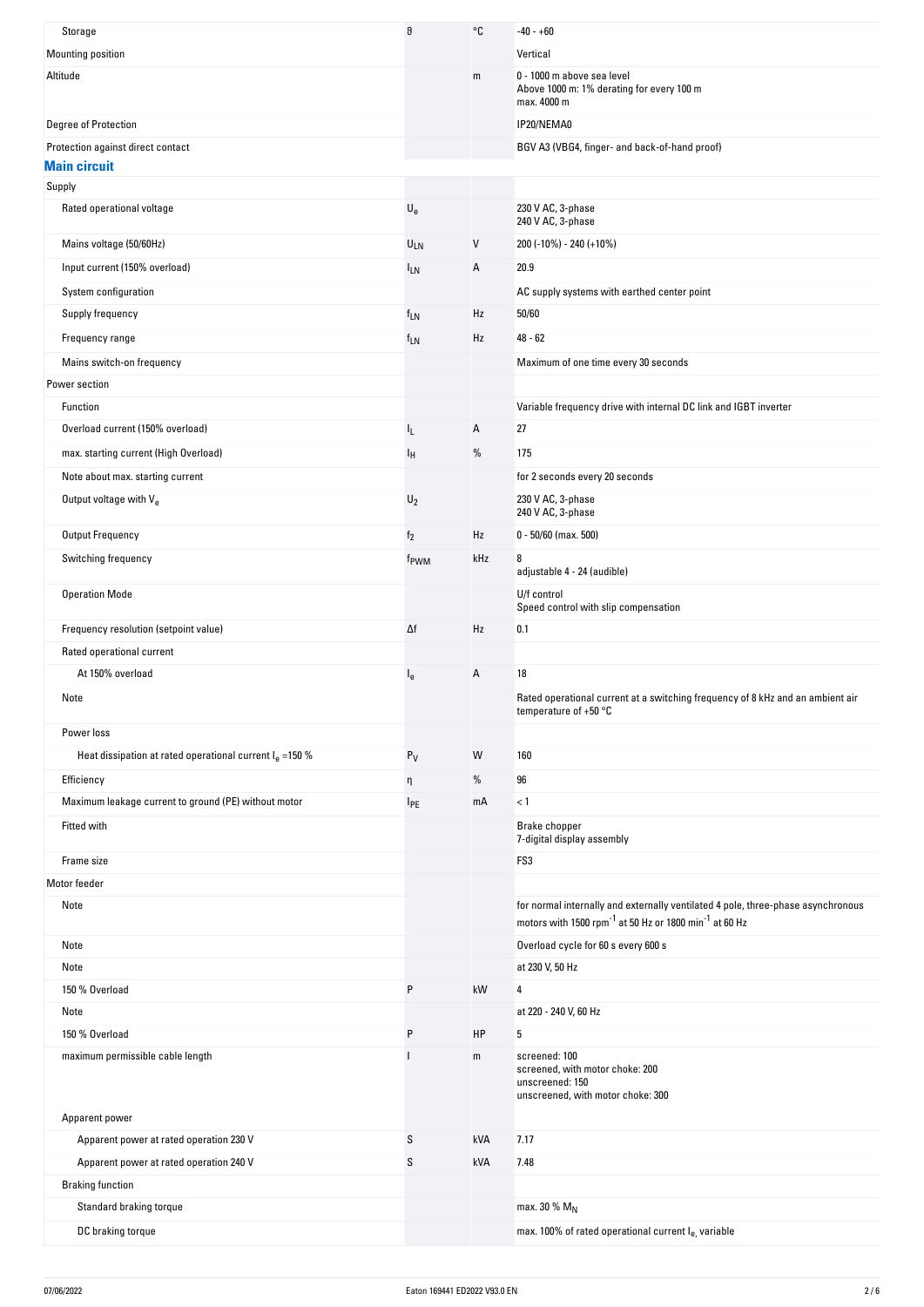| Storage                                                   | θ                         | °C           | -40 - +60                                                                                                                                                          |
|-----------------------------------------------------------|---------------------------|--------------|--------------------------------------------------------------------------------------------------------------------------------------------------------------------|
| Mounting position                                         |                           |              | Vertical                                                                                                                                                           |
| Altitude                                                  |                           | m            | 0 - 1000 m above sea level<br>Above 1000 m: 1% derating for every 100 m<br>max. 4000 m                                                                             |
| Degree of Protection                                      |                           |              | IP20/NEMA0                                                                                                                                                         |
| Protection against direct contact                         |                           |              | BGV A3 (VBG4, finger- and back-of-hand proof)                                                                                                                      |
| <b>Main circuit</b><br>Supply                             |                           |              |                                                                                                                                                                    |
| Rated operational voltage                                 | $\mathsf{U}_{\mathsf{e}}$ |              | 230 V AC, 3-phase                                                                                                                                                  |
|                                                           |                           |              | 240 V AC, 3-phase                                                                                                                                                  |
| Mains voltage (50/60Hz)                                   | ULN                       | $\mathsf{V}$ | 200 (-10%) - 240 (+10%)                                                                                                                                            |
| Input current (150% overload)                             | $I_{LN}$                  | A            | 20.9                                                                                                                                                               |
| System configuration                                      |                           |              | AC supply systems with earthed center point                                                                                                                        |
| Supply frequency                                          | <sup>f</sup> LN           | Hz           | 50/60                                                                                                                                                              |
| Frequency range                                           | $f_{LN}$                  | Hz           | $48 - 62$                                                                                                                                                          |
| Mains switch-on frequency                                 |                           |              | Maximum of one time every 30 seconds                                                                                                                               |
| Power section                                             |                           |              |                                                                                                                                                                    |
| Function                                                  |                           |              | Variable frequency drive with internal DC link and IGBT inverter                                                                                                   |
| Overload current (150% overload)                          | IL.                       | A            | 27                                                                                                                                                                 |
| max. starting current (High Overload)                     | ΙH                        | %            | 175                                                                                                                                                                |
| Note about max. starting current                          |                           |              | for 2 seconds every 20 seconds                                                                                                                                     |
| Output voltage with Ve                                    | $U_2$                     |              | 230 V AC, 3-phase<br>240 V AC, 3-phase                                                                                                                             |
| <b>Output Frequency</b>                                   | f <sub>2</sub>            | Hz           | $0 - 50/60$ (max. 500)                                                                                                                                             |
| Switching frequency                                       | f <sub>PWM</sub>          | kHz          | 8<br>adjustable 4 - 24 (audible)                                                                                                                                   |
| <b>Operation Mode</b>                                     |                           |              | U/f control<br>Speed control with slip compensation                                                                                                                |
| Frequency resolution (setpoint value)                     | Δf                        | Hz           | 0.1                                                                                                                                                                |
| Rated operational current                                 |                           |              |                                                                                                                                                                    |
| At 150% overload                                          | l <sub>e</sub>            | A            | 18                                                                                                                                                                 |
| Note                                                      |                           |              | Rated operational current at a switching frequency of 8 kHz and an ambient air                                                                                     |
|                                                           |                           |              | temperature of $+50 °C$                                                                                                                                            |
| Power loss                                                |                           |              |                                                                                                                                                                    |
| Heat dissipation at rated operational current $Ie$ =150 % | $P_V$                     | W            | 160                                                                                                                                                                |
| Efficiency                                                | η                         | %            | 96                                                                                                                                                                 |
| Maximum leakage current to ground (PE) without motor      | <b>IPE</b>                | mA           | < 1                                                                                                                                                                |
| Fitted with                                               |                           |              | Brake chopper<br>7-digital display assembly                                                                                                                        |
| Frame size                                                |                           |              | FS3                                                                                                                                                                |
| Motor feeder                                              |                           |              |                                                                                                                                                                    |
| Note                                                      |                           |              | for normal internally and externally ventilated 4 pole, three-phase asynchronous<br>motors with 1500 rpm <sup>-1</sup> at 50 Hz or 1800 min <sup>-1</sup> at 60 Hz |
| Note                                                      |                           |              | Overload cycle for 60 s every 600 s                                                                                                                                |
| Note                                                      |                           |              | at 230 V, 50 Hz                                                                                                                                                    |
| 150 % Overload                                            | P                         | kW           | 4                                                                                                                                                                  |
| Note                                                      |                           |              | at 220 - 240 V, 60 Hz                                                                                                                                              |
| 150 % Overload                                            | P                         | HP           | 5                                                                                                                                                                  |
| maximum permissible cable length                          |                           | m            | screened: 100<br>screened, with motor choke: 200<br>unscreened: 150<br>unscreened, with motor choke: 300                                                           |
| Apparent power                                            |                           |              |                                                                                                                                                                    |
| Apparent power at rated operation 230 V                   | S                         | kVA          | 7.17                                                                                                                                                               |
| Apparent power at rated operation 240 V                   | S                         | kVA          | 7.48                                                                                                                                                               |
| <b>Braking function</b>                                   |                           |              |                                                                                                                                                                    |
| Standard braking torque                                   |                           |              | max. 30 % $M_N$                                                                                                                                                    |
| DC braking torque                                         |                           |              | max. 100% of rated operational current le, variable                                                                                                                |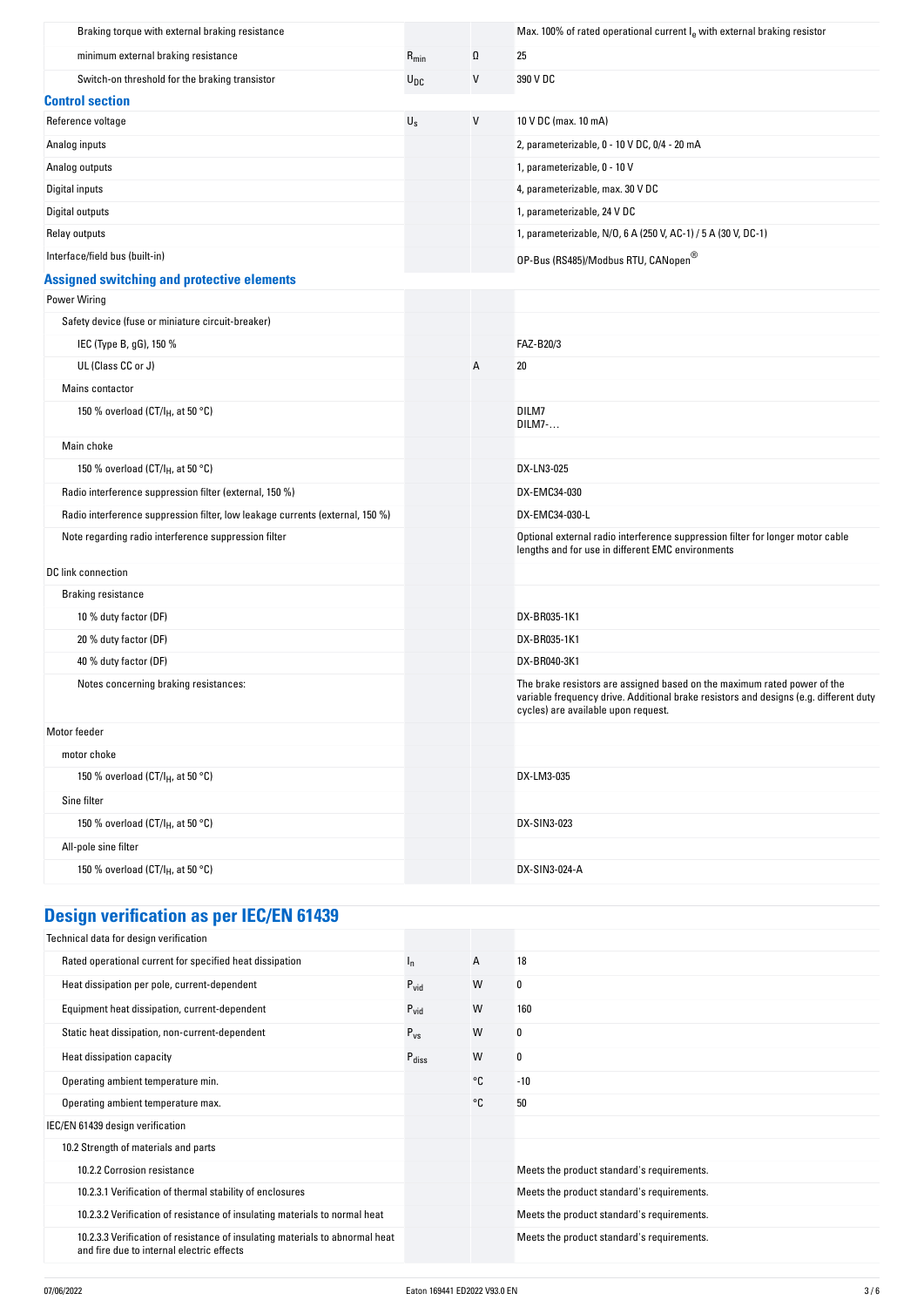| Braking torque with external braking resistance                               |                         |          | Max. 100% of rated operational current $Ie$ with external braking resistor                                                                                                                               |
|-------------------------------------------------------------------------------|-------------------------|----------|----------------------------------------------------------------------------------------------------------------------------------------------------------------------------------------------------------|
| minimum external braking resistance                                           | $R_{min}$               | $\Omega$ | 25                                                                                                                                                                                                       |
| Switch-on threshold for the braking transistor                                | $U_{DC}$                | V        | 390 V DC                                                                                                                                                                                                 |
| <b>Control section</b>                                                        |                         |          |                                                                                                                                                                                                          |
| Reference voltage                                                             | $\mathsf{U}_\mathsf{S}$ | $\vee$   | 10 V DC (max. 10 mA)                                                                                                                                                                                     |
| Analog inputs                                                                 |                         |          | 2, parameterizable, 0 - 10 V DC, 0/4 - 20 mA                                                                                                                                                             |
| Analog outputs                                                                |                         |          | 1, parameterizable, 0 - 10 V                                                                                                                                                                             |
| Digital inputs                                                                |                         |          | 4, parameterizable, max. 30 V DC                                                                                                                                                                         |
| Digital outputs                                                               |                         |          | 1, parameterizable, 24 V DC                                                                                                                                                                              |
| Relay outputs                                                                 |                         |          | 1, parameterizable, N/O, 6 A (250 V, AC-1) / 5 A (30 V, DC-1)                                                                                                                                            |
| Interface/field bus (built-in)                                                |                         |          | OP-Bus (RS485)/Modbus RTU, CANopen®                                                                                                                                                                      |
| <b>Assigned switching and protective elements</b>                             |                         |          |                                                                                                                                                                                                          |
| <b>Power Wiring</b>                                                           |                         |          |                                                                                                                                                                                                          |
| Safety device (fuse or miniature circuit-breaker)                             |                         |          |                                                                                                                                                                                                          |
| IEC (Type B, gG), 150 %                                                       |                         |          | FAZ-B20/3                                                                                                                                                                                                |
| UL (Class CC or J)                                                            |                         | Α        | 20                                                                                                                                                                                                       |
| Mains contactor                                                               |                         |          |                                                                                                                                                                                                          |
| 150 % overload (CT/I <sub>H</sub> , at 50 °C)                                 |                         |          | DILM7<br>DILM7-                                                                                                                                                                                          |
| Main choke                                                                    |                         |          |                                                                                                                                                                                                          |
| 150 % overload (CT/I <sub>H</sub> , at 50 °C)                                 |                         |          | DX-LN3-025                                                                                                                                                                                               |
| Radio interference suppression filter (external, 150 %)                       |                         |          | DX-EMC34-030                                                                                                                                                                                             |
| Radio interference suppression filter, low leakage currents (external, 150 %) |                         |          | DX-EMC34-030-L                                                                                                                                                                                           |
| Note regarding radio interference suppression filter                          |                         |          | Optional external radio interference suppression filter for longer motor cable<br>lengths and for use in different EMC environments                                                                      |
| DC link connection                                                            |                         |          |                                                                                                                                                                                                          |
| <b>Braking resistance</b>                                                     |                         |          |                                                                                                                                                                                                          |
| 10 % duty factor (DF)                                                         |                         |          | DX-BR035-1K1                                                                                                                                                                                             |
| 20 % duty factor (DF)                                                         |                         |          | DX-BR035-1K1                                                                                                                                                                                             |
| 40 % duty factor (DF)                                                         |                         |          | DX-BR040-3K1                                                                                                                                                                                             |
| Notes concerning braking resistances:                                         |                         |          | The brake resistors are assigned based on the maximum rated power of the<br>variable frequency drive. Additional brake resistors and designs (e.g. different duty<br>cycles) are available upon request. |
| Motor feeder                                                                  |                         |          |                                                                                                                                                                                                          |
| motor choke                                                                   |                         |          |                                                                                                                                                                                                          |
| 150 % overload (CT/I <sub>H</sub> , at 50 °C)                                 |                         |          | DX-LM3-035                                                                                                                                                                                               |
| Sine filter                                                                   |                         |          |                                                                                                                                                                                                          |
| 150 % overload (CT/I <sub>H</sub> , at 50 °C)                                 |                         |          | DX-SIN3-023                                                                                                                                                                                              |
| All-pole sine filter                                                          |                         |          |                                                                                                                                                                                                          |
| 150 % overload (CT/I <sub>H</sub> , at 50 °C)                                 |                         |          | DX-SIN3-024-A                                                                                                                                                                                            |
|                                                                               |                         |          |                                                                                                                                                                                                          |

# **Design verification as per IEC/EN 61439**

| Technical data for design verification                                                                                    |                   |    |                                            |
|---------------------------------------------------------------------------------------------------------------------------|-------------------|----|--------------------------------------------|
| Rated operational current for specified heat dissipation                                                                  | ı <sub>n</sub>    | A  | 18                                         |
| Heat dissipation per pole, current-dependent                                                                              | $P_{\text{vid}}$  | W  | 0                                          |
| Equipment heat dissipation, current-dependent                                                                             | $P_{\text{vid}}$  | W  | 160                                        |
| Static heat dissipation, non-current-dependent                                                                            | $P_{VS}$          | W  | 0                                          |
| Heat dissipation capacity                                                                                                 | $P_{\text{diss}}$ | W  | 0                                          |
| Operating ambient temperature min.                                                                                        |                   | °C | $-10$                                      |
| Operating ambient temperature max.                                                                                        |                   | °C | 50                                         |
| IEC/EN 61439 design verification                                                                                          |                   |    |                                            |
| 10.2 Strength of materials and parts                                                                                      |                   |    |                                            |
| 10.2.2 Corrosion resistance                                                                                               |                   |    | Meets the product standard's requirements. |
| 10.2.3.1 Verification of thermal stability of enclosures                                                                  |                   |    | Meets the product standard's requirements. |
| 10.2.3.2 Verification of resistance of insulating materials to normal heat                                                |                   |    | Meets the product standard's requirements. |
| 10.2.3.3 Verification of resistance of insulating materials to abnormal heat<br>and fire due to internal electric effects |                   |    | Meets the product standard's requirements. |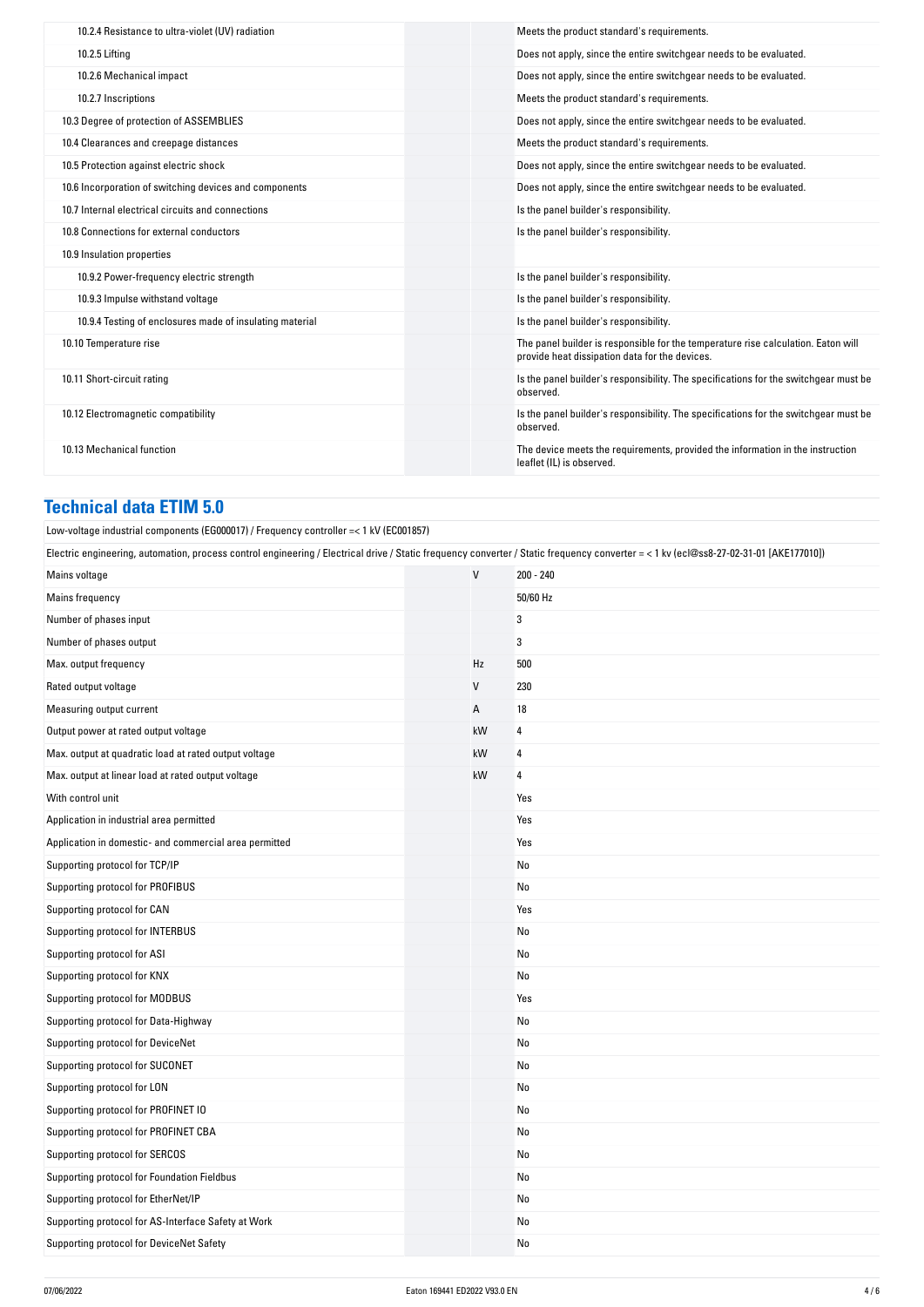| 10.2.4 Resistance to ultra-violet (UV) radiation         | Meets the product standard's requirements.                                                                                          |
|----------------------------------------------------------|-------------------------------------------------------------------------------------------------------------------------------------|
| 10.2.5 Lifting                                           | Does not apply, since the entire switchgear needs to be evaluated.                                                                  |
| 10.2.6 Mechanical impact                                 | Does not apply, since the entire switchgear needs to be evaluated.                                                                  |
| 10.2.7 Inscriptions                                      | Meets the product standard's requirements.                                                                                          |
| 10.3 Degree of protection of ASSEMBLIES                  | Does not apply, since the entire switchgear needs to be evaluated.                                                                  |
| 10.4 Clearances and creepage distances                   | Meets the product standard's requirements.                                                                                          |
| 10.5 Protection against electric shock                   | Does not apply, since the entire switchgear needs to be evaluated.                                                                  |
| 10.6 Incorporation of switching devices and components   | Does not apply, since the entire switchgear needs to be evaluated.                                                                  |
| 10.7 Internal electrical circuits and connections        | Is the panel builder's responsibility.                                                                                              |
| 10.8 Connections for external conductors                 | Is the panel builder's responsibility.                                                                                              |
| 10.9 Insulation properties                               |                                                                                                                                     |
| 10.9.2 Power-frequency electric strength                 | Is the panel builder's responsibility.                                                                                              |
| 10.9.3 Impulse withstand voltage                         | Is the panel builder's responsibility.                                                                                              |
| 10.9.4 Testing of enclosures made of insulating material | Is the panel builder's responsibility.                                                                                              |
| 10.10 Temperature rise                                   | The panel builder is responsible for the temperature rise calculation. Eaton will<br>provide heat dissipation data for the devices. |
| 10.11 Short-circuit rating                               | Is the panel builder's responsibility. The specifications for the switchgear must be<br>observed.                                   |
| 10.12 Electromagnetic compatibility                      | Is the panel builder's responsibility. The specifications for the switchgear must be<br>observed.                                   |
| 10.13 Mechanical function                                | The device meets the requirements, provided the information in the instruction<br>leaflet (IL) is observed.                         |

## **Technical data ETIM 5.0**

Low-voltage industrial components (EG000017) / Frequency controller =< 1 kV (EC001857)

Electric engineering, automation, process control engineering / Electrical drive / Static frequency converter / Static frequency converter = < 1 kv (ecl@ss8-27-02-31-01 [AKE177010])

| Mains voltage                                          | $\vee$ | 200 - 240 |
|--------------------------------------------------------|--------|-----------|
| Mains frequency                                        |        | 50/60 Hz  |
| Number of phases input                                 |        | 3         |
| Number of phases output                                |        | 3         |
| Max. output frequency                                  | Hz     | 500       |
| Rated output voltage                                   | V      | 230       |
| Measuring output current                               | А      | 18        |
| Output power at rated output voltage                   | kW     | 4         |
| Max. output at quadratic load at rated output voltage  | kW     | 4         |
| Max. output at linear load at rated output voltage     | kW     | 4         |
| With control unit                                      |        | Yes       |
| Application in industrial area permitted               |        | Yes       |
| Application in domestic- and commercial area permitted |        | Yes       |
| Supporting protocol for TCP/IP                         |        | No        |
| Supporting protocol for PROFIBUS                       |        | No        |
| Supporting protocol for CAN                            |        | Yes       |
| Supporting protocol for INTERBUS                       |        | No        |
| Supporting protocol for ASI                            |        | No        |
| Supporting protocol for KNX                            |        | No        |
| Supporting protocol for MODBUS                         |        | Yes       |
| Supporting protocol for Data-Highway                   |        | No        |
| Supporting protocol for DeviceNet                      |        | No        |
| Supporting protocol for SUCONET                        |        | No        |
| Supporting protocol for LON                            |        | No        |
| Supporting protocol for PROFINET IO                    |        | No        |
| Supporting protocol for PROFINET CBA                   |        | No        |
| Supporting protocol for SERCOS                         |        | No        |
| Supporting protocol for Foundation Fieldbus            |        | No        |
| Supporting protocol for EtherNet/IP                    |        | No        |
| Supporting protocol for AS-Interface Safety at Work    |        | No        |
| Supporting protocol for DeviceNet Safety               |        | No        |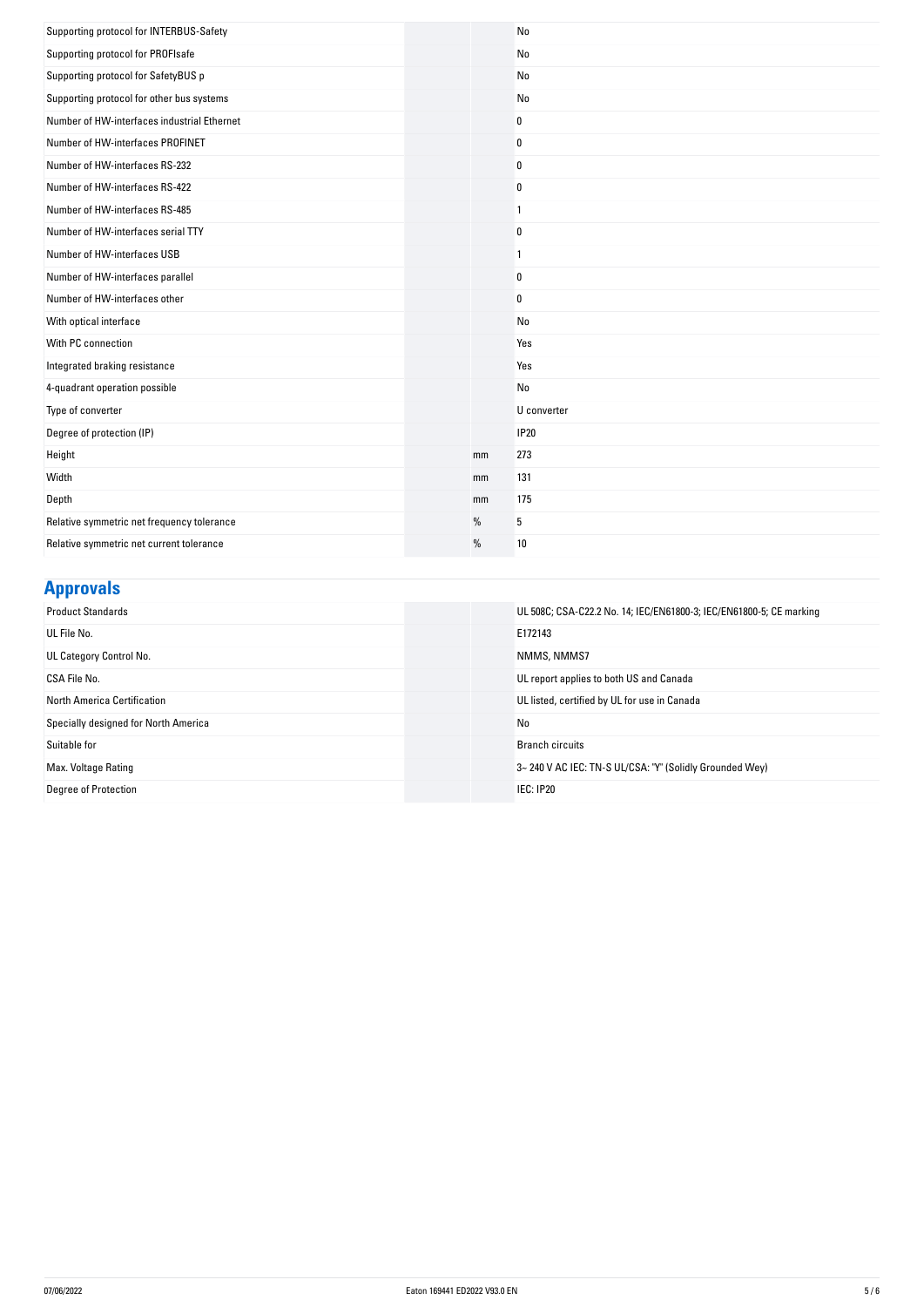| Supporting protocol for INTERBUS-Safety     |    | No             |
|---------------------------------------------|----|----------------|
| Supporting protocol for PROFIsafe           |    | No             |
| Supporting protocol for SafetyBUS p         |    | No             |
| Supporting protocol for other bus systems   |    | No             |
| Number of HW-interfaces industrial Ethernet |    | $\pmb{0}$      |
| Number of HW-interfaces PROFINET            |    | $\mathbf 0$    |
| Number of HW-interfaces RS-232              |    | $\mathbf 0$    |
| Number of HW-interfaces RS-422              |    | 0              |
| Number of HW-interfaces RS-485              |    | $\mathbf{1}$   |
| Number of HW-interfaces serial TTY          |    | $\mathbf 0$    |
| Number of HW-interfaces USB                 |    | $\overline{1}$ |
| Number of HW-interfaces parallel            |    | $\bf{0}$       |
| Number of HW-interfaces other               |    | $\pmb{0}$      |
| With optical interface                      |    | No             |
| With PC connection                          |    | Yes            |
| Integrated braking resistance               |    | Yes            |
| 4-quadrant operation possible               |    | No             |
| Type of converter                           |    | U converter    |
| Degree of protection (IP)                   |    | <b>IP20</b>    |
| Height                                      | mm | 273            |
| Width                                       | mm | 131            |
| Depth                                       | mm | 175            |
| Relative symmetric net frequency tolerance  | %  | 5              |
| Relative symmetric net current tolerance    | %  | 10             |

### **Approvals**

| <b>Product Standards</b>             | UL 508C; CSA-C22.2 No. 14; IEC/EN61800-3; IEC/EN61800-5; CE marking |
|--------------------------------------|---------------------------------------------------------------------|
| UL File No.                          | E172143                                                             |
| UL Category Control No.              | NMMS, NMMS7                                                         |
| CSA File No.                         | UL report applies to both US and Canada                             |
| North America Certification          | UL listed, certified by UL for use in Canada                        |
| Specially designed for North America | No                                                                  |
| Suitable for                         | <b>Branch circuits</b>                                              |
| Max. Voltage Rating                  | 3~240 V AC IEC: TN-S UL/CSA: "Y" (Solidly Grounded Wey)             |
| Degree of Protection                 | <b>IEC: IP20</b>                                                    |